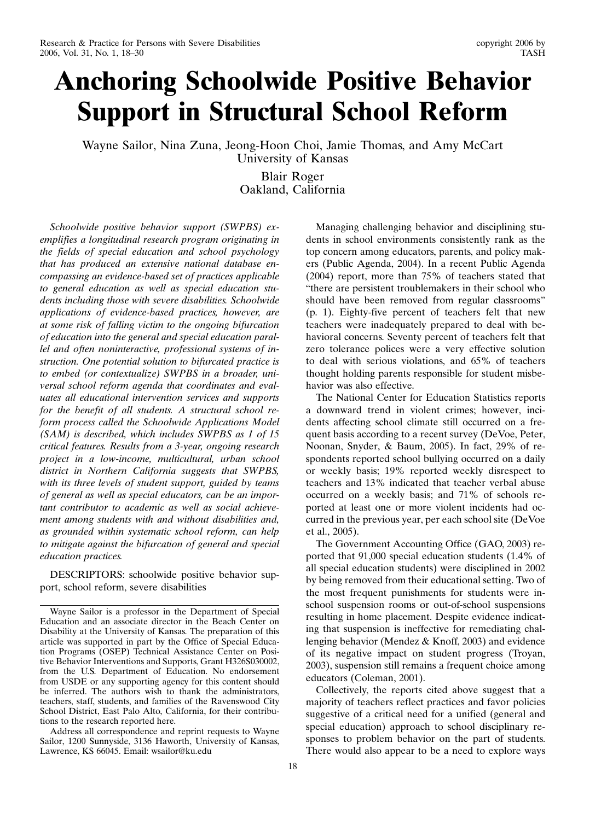# Anchoring Schoolwide Positive Behavior Support in Structural School Reform

Wayne Sailor, Nina Zuna, Jeong-Hoon Choi, Jamie Thomas, and Amy McCart University of Kansas

> Blair Roger Oakland, California

Schoolwide positive behavior support (SWPBS) exemplifies a longitudinal research program originating in the fields of special education and school psychology that has produced an extensive national database encompassing an evidence-based set of practices applicable to general education as well as special education students including those with severe disabilities. Schoolwide applications of evidence-based practices, however, are at some risk of falling victim to the ongoing bifurcation of education into the general and special education parallel and often noninteractive, professional systems of instruction. One potential solution to bifurcated practice is to embed (or contextualize) SWPBS in a broader, universal school reform agenda that coordinates and evaluates all educational intervention services and supports for the benefit of all students. A structural school reform process called the Schoolwide Applications Model (SAM) is described, which includes SWPBS as 1 of 15 critical features. Results from a 3-year, ongoing research project in a low-income, multicultural, urban school district in Northern California suggests that SWPBS, with its three levels of student support, guided by teams of general as well as special educators, can be an important contributor to academic as well as social achievement among students with and without disabilities and, as grounded within systematic school reform, can help to mitigate against the bifurcation of general and special education practices.

DESCRIPTORS: schoolwide positive behavior support, school reform, severe disabilities

Address all correspondence and reprint requests to Wayne Sailor, 1200 Sunnyside, 3136 Haworth, University of Kansas, Lawrence, KS 66045. Email: wsailor@ku.edu

Managing challenging behavior and disciplining students in school environments consistently rank as the top concern among educators, parents, and policy makers (Public Agenda, 2004). In a recent Public Agenda (2004) report, more than 75% of teachers stated that "there are persistent troublemakers in their school who should have been removed from regular classrooms" (p. 1). Eighty-five percent of teachers felt that new teachers were inadequately prepared to deal with behavioral concerns. Seventy percent of teachers felt that zero tolerance polices were a very effective solution to deal with serious violations, and 65% of teachers thought holding parents responsible for student misbehavior was also effective.

The National Center for Education Statistics reports a downward trend in violent crimes; however, incidents affecting school climate still occurred on a frequent basis according to a recent survey (DeVoe, Peter, Noonan, Snyder, & Baum, 2005). In fact, 29% of respondents reported school bullying occurred on a daily or weekly basis; 19% reported weekly disrespect to teachers and 13% indicated that teacher verbal abuse occurred on a weekly basis; and 71% of schools reported at least one or more violent incidents had occurred in the previous year, per each school site (DeVoe et al., 2005).

The Government Accounting Office (GAO, 2003) reported that 91,000 special education students (1.4% of all special education students) were disciplined in 2002 by being removed from their educational setting. Two of the most frequent punishments for students were inschool suspension rooms or out-of-school suspensions resulting in home placement. Despite evidence indicating that suspension is ineffective for remediating challenging behavior (Mendez & Knoff, 2003) and evidence of its negative impact on student progress (Troyan, 2003), suspension still remains a frequent choice among educators (Coleman, 2001).

Collectively, the reports cited above suggest that a majority of teachers reflect practices and favor policies suggestive of a critical need for a unified (general and special education) approach to school disciplinary responses to problem behavior on the part of students. There would also appear to be a need to explore ways

Wayne Sailor is a professor in the Department of Special Education and an associate director in the Beach Center on Disability at the University of Kansas. The preparation of this article was supported in part by the Office of Special Education Programs (OSEP) Technical Assistance Center on Positive Behavior Interventions and Supports, Grant H326S030002, from the U.S. Department of Education. No endorsement from USDE or any supporting agency for this content should be inferred. The authors wish to thank the administrators, teachers, staff, students, and families of the Ravenswood City School District, East Palo Alto, California, for their contributions to the research reported here.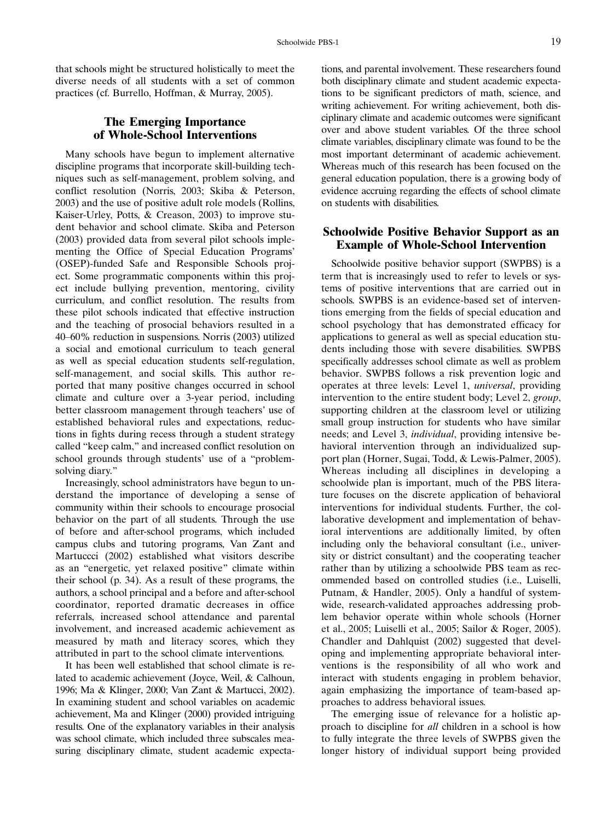that schools might be structured holistically to meet the diverse needs of all students with a set of common practices (cf. Burrello, Hoffman, & Murray, 2005).

## The Emerging Importance of Whole-School Interventions

Many schools have begun to implement alternative discipline programs that incorporate skill-building techniques such as self-management, problem solving, and conflict resolution (Norris, 2003; Skiba & Peterson, 2003) and the use of positive adult role models (Rollins, Kaiser-Urley, Potts, & Creason, 2003) to improve student behavior and school climate. Skiba and Peterson (2003) provided data from several pilot schools implementing the Office of Special Education Programs' (OSEP)-funded Safe and Responsible Schools project. Some programmatic components within this project include bullying prevention, mentoring, civility curriculum, and conflict resolution. The results from these pilot schools indicated that effective instruction and the teaching of prosocial behaviors resulted in a 40–60% reduction in suspensions. Norris (2003) utilized a social and emotional curriculum to teach general as well as special education students self-regulation, self-management, and social skills. This author reported that many positive changes occurred in school climate and culture over a 3-year period, including better classroom management through teachers' use of established behavioral rules and expectations, reductions in fights during recess through a student strategy called "keep calm," and increased conflict resolution on school grounds through students' use of a "problemsolving diary."

Increasingly, school administrators have begun to understand the importance of developing a sense of community within their schools to encourage prosocial behavior on the part of all students. Through the use of before and after-school programs, which included campus clubs and tutoring programs, Van Zant and Martuccci (2002) established what visitors describe as an "energetic, yet relaxed positive" climate within their school (p. 34). As a result of these programs, the authors, a school principal and a before and after-school coordinator, reported dramatic decreases in office referrals, increased school attendance and parental involvement, and increased academic achievement as measured by math and literacy scores, which they attributed in part to the school climate interventions.

It has been well established that school climate is related to academic achievement (Joyce, Weil, & Calhoun, 1996; Ma & Klinger, 2000; Van Zant & Martucci, 2002). In examining student and school variables on academic achievement, Ma and Klinger (2000) provided intriguing results. One of the explanatory variables in their analysis was school climate, which included three subscales measuring disciplinary climate, student academic expectations, and parental involvement. These researchers found both disciplinary climate and student academic expectations to be significant predictors of math, science, and writing achievement. For writing achievement, both disciplinary climate and academic outcomes were significant over and above student variables. Of the three school climate variables, disciplinary climate was found to be the most important determinant of academic achievement. Whereas much of this research has been focused on the general education population, there is a growing body of evidence accruing regarding the effects of school climate on students with disabilities.

#### Schoolwide Positive Behavior Support as an Example of Whole-School Intervention

Schoolwide positive behavior support (SWPBS) is a term that is increasingly used to refer to levels or systems of positive interventions that are carried out in schools. SWPBS is an evidence-based set of interventions emerging from the fields of special education and school psychology that has demonstrated efficacy for applications to general as well as special education students including those with severe disabilities. SWPBS specifically addresses school climate as well as problem behavior. SWPBS follows a risk prevention logic and operates at three levels: Level 1, universal, providing intervention to the entire student body; Level 2, group, supporting children at the classroom level or utilizing small group instruction for students who have similar needs; and Level 3, individual, providing intensive behavioral intervention through an individualized support plan (Horner, Sugai, Todd, & Lewis-Palmer, 2005). Whereas including all disciplines in developing a schoolwide plan is important, much of the PBS literature focuses on the discrete application of behavioral interventions for individual students. Further, the collaborative development and implementation of behavioral interventions are additionally limited, by often including only the behavioral consultant (i.e., university or district consultant) and the cooperating teacher rather than by utilizing a schoolwide PBS team as recommended based on controlled studies (i.e., Luiselli, Putnam, & Handler, 2005). Only a handful of systemwide, research-validated approaches addressing problem behavior operate within whole schools (Horner et al., 2005; Luiselli et al., 2005; Sailor & Roger, 2005). Chandler and Dahlquist (2002) suggested that developing and implementing appropriate behavioral interventions is the responsibility of all who work and interact with students engaging in problem behavior, again emphasizing the importance of team-based approaches to address behavioral issues.

The emerging issue of relevance for a holistic approach to discipline for all children in a school is how to fully integrate the three levels of SWPBS given the longer history of individual support being provided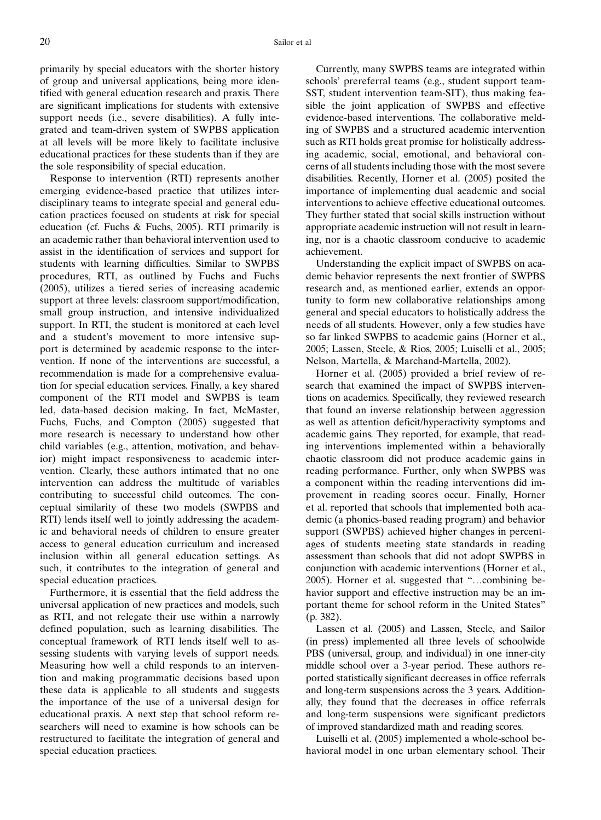primarily by special educators with the shorter history of group and universal applications, being more identified with general education research and praxis. There are significant implications for students with extensive support needs (i.e., severe disabilities). A fully integrated and team-driven system of SWPBS application at all levels will be more likely to facilitate inclusive educational practices for these students than if they are the sole responsibility of special education.

Response to intervention (RTI) represents another emerging evidence-based practice that utilizes interdisciplinary teams to integrate special and general education practices focused on students at risk for special education (cf. Fuchs & Fuchs, 2005). RTI primarily is an academic rather than behavioral intervention used to assist in the identification of services and support for students with learning difficulties. Similar to SWPBS procedures, RTI, as outlined by Fuchs and Fuchs (2005), utilizes a tiered series of increasing academic support at three levels: classroom support/modification, small group instruction, and intensive individualized support. In RTI, the student is monitored at each level and a student's movement to more intensive support is determined by academic response to the intervention. If none of the interventions are successful, a recommendation is made for a comprehensive evaluation for special education services. Finally, a key shared component of the RTI model and SWPBS is team led, data-based decision making. In fact, McMaster, Fuchs, Fuchs, and Compton (2005) suggested that more research is necessary to understand how other child variables (e.g., attention, motivation, and behavior) might impact responsiveness to academic intervention. Clearly, these authors intimated that no one intervention can address the multitude of variables contributing to successful child outcomes. The conceptual similarity of these two models (SWPBS and RTI) lends itself well to jointly addressing the academic and behavioral needs of children to ensure greater access to general education curriculum and increased inclusion within all general education settings. As such, it contributes to the integration of general and special education practices.

Furthermore, it is essential that the field address the universal application of new practices and models, such as RTI, and not relegate their use within a narrowly defined population, such as learning disabilities. The conceptual framework of RTI lends itself well to assessing students with varying levels of support needs. Measuring how well a child responds to an intervention and making programmatic decisions based upon these data is applicable to all students and suggests the importance of the use of a universal design for educational praxis. A next step that school reform researchers will need to examine is how schools can be restructured to facilitate the integration of general and special education practices.

Currently, many SWPBS teams are integrated within schools' prereferral teams (e.g., student support team-SST, student intervention team-SIT), thus making feasible the joint application of SWPBS and effective evidence-based interventions. The collaborative melding of SWPBS and a structured academic intervention such as RTI holds great promise for holistically addressing academic, social, emotional, and behavioral concerns of all students including those with the most severe disabilities. Recently, Horner et al. (2005) posited the importance of implementing dual academic and social interventions to achieve effective educational outcomes. They further stated that social skills instruction without appropriate academic instruction will not result in learning, nor is a chaotic classroom conducive to academic achievement.

Understanding the explicit impact of SWPBS on academic behavior represents the next frontier of SWPBS research and, as mentioned earlier, extends an opportunity to form new collaborative relationships among general and special educators to holistically address the needs of all students. However, only a few studies have so far linked SWPBS to academic gains (Horner et al., 2005; Lassen, Steele, & Rios, 2005; Luiselli et al., 2005; Nelson, Martella, & Marchand-Martella, 2002).

Horner et al. (2005) provided a brief review of research that examined the impact of SWPBS interventions on academics. Specifically, they reviewed research that found an inverse relationship between aggression as well as attention deficit/hyperactivity symptoms and academic gains. They reported, for example, that reading interventions implemented within a behaviorally chaotic classroom did not produce academic gains in reading performance. Further, only when SWPBS was a component within the reading interventions did improvement in reading scores occur. Finally, Horner et al. reported that schools that implemented both academic (a phonics-based reading program) and behavior support (SWPBS) achieved higher changes in percentages of students meeting state standards in reading assessment than schools that did not adopt SWPBS in conjunction with academic interventions (Horner et al., 2005). Horner et al. suggested that "...combining behavior support and effective instruction may be an important theme for school reform in the United States" (p. 382).

Lassen et al. (2005) and Lassen, Steele, and Sailor (in press) implemented all three levels of schoolwide PBS (universal, group, and individual) in one inner-city middle school over a 3-year period. These authors reported statistically significant decreases in office referrals and long-term suspensions across the 3 years. Additionally, they found that the decreases in office referrals and long-term suspensions were significant predictors of improved standardized math and reading scores.

Luiselli et al. (2005) implemented a whole-school behavioral model in one urban elementary school. Their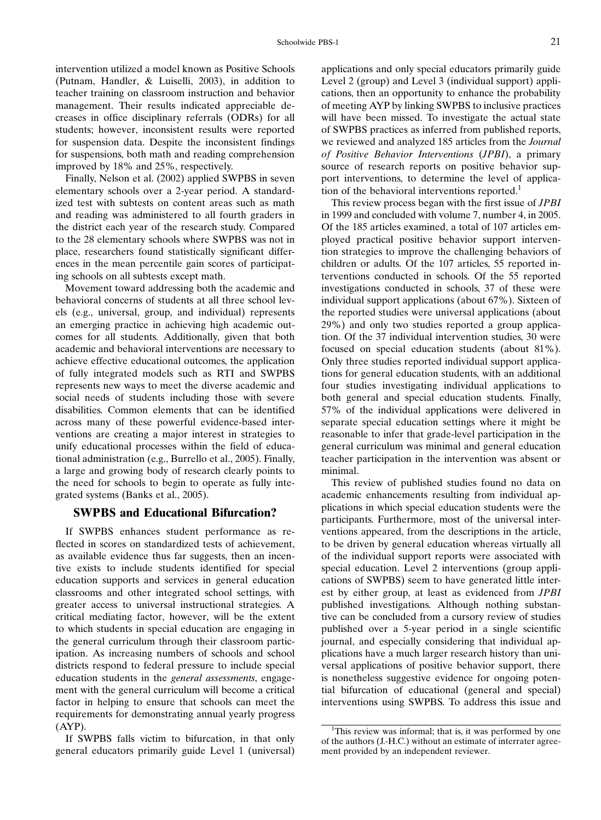intervention utilized a model known as Positive Schools (Putnam, Handler, & Luiselli, 2003), in addition to teacher training on classroom instruction and behavior management. Their results indicated appreciable decreases in office disciplinary referrals (ODRs) for all students; however, inconsistent results were reported for suspension data. Despite the inconsistent findings for suspensions, both math and reading comprehension improved by 18% and 25%, respectively.

Finally, Nelson et al. (2002) applied SWPBS in seven elementary schools over a 2-year period. A standardized test with subtests on content areas such as math and reading was administered to all fourth graders in the district each year of the research study. Compared to the 28 elementary schools where SWPBS was not in place, researchers found statistically significant differences in the mean percentile gain scores of participating schools on all subtests except math.

Movement toward addressing both the academic and behavioral concerns of students at all three school levels (e.g., universal, group, and individual) represents an emerging practice in achieving high academic outcomes for all students. Additionally, given that both academic and behavioral interventions are necessary to achieve effective educational outcomes, the application of fully integrated models such as RTI and SWPBS represents new ways to meet the diverse academic and social needs of students including those with severe disabilities. Common elements that can be identified across many of these powerful evidence-based interventions are creating a major interest in strategies to unify educational processes within the field of educational administration (e.g., Burrello et al., 2005). Finally, a large and growing body of research clearly points to the need for schools to begin to operate as fully integrated systems (Banks et al., 2005).

#### SWPBS and Educational Bifurcation?

If SWPBS enhances student performance as reflected in scores on standardized tests of achievement, as available evidence thus far suggests, then an incentive exists to include students identified for special education supports and services in general education classrooms and other integrated school settings, with greater access to universal instructional strategies. A critical mediating factor, however, will be the extent to which students in special education are engaging in the general curriculum through their classroom participation. As increasing numbers of schools and school districts respond to federal pressure to include special education students in the *general assessments*, engagement with the general curriculum will become a critical factor in helping to ensure that schools can meet the requirements for demonstrating annual yearly progress (AYP).

If SWPBS falls victim to bifurcation, in that only general educators primarily guide Level 1 (universal) applications and only special educators primarily guide Level 2 (group) and Level 3 (individual support) applications, then an opportunity to enhance the probability of meeting AYP by linking SWPBS to inclusive practices will have been missed. To investigate the actual state of SWPBS practices as inferred from published reports, we reviewed and analyzed 185 articles from the Journal of Positive Behavior Interventions (JPBI), a primary source of research reports on positive behavior support interventions, to determine the level of application of the behavioral interventions reported.<sup>1</sup>

This review process began with the first issue of *JPBI* in 1999 and concluded with volume 7, number 4, in 2005. Of the 185 articles examined, a total of 107 articles employed practical positive behavior support intervention strategies to improve the challenging behaviors of children or adults. Of the 107 articles, 55 reported interventions conducted in schools. Of the 55 reported investigations conducted in schools, 37 of these were individual support applications (about 67%). Sixteen of the reported studies were universal applications (about 29%) and only two studies reported a group application. Of the 37 individual intervention studies, 30 were focused on special education students (about 81%). Only three studies reported individual support applications for general education students, with an additional four studies investigating individual applications to both general and special education students. Finally, 57% of the individual applications were delivered in separate special education settings where it might be reasonable to infer that grade-level participation in the general curriculum was minimal and general education teacher participation in the intervention was absent or minimal.

This review of published studies found no data on academic enhancements resulting from individual applications in which special education students were the participants. Furthermore, most of the universal interventions appeared, from the descriptions in the article, to be driven by general education whereas virtually all of the individual support reports were associated with special education. Level 2 interventions (group applications of SWPBS) seem to have generated little interest by either group, at least as evidenced from JPBI published investigations. Although nothing substantive can be concluded from a cursory review of studies published over a 5-year period in a single scientific journal, and especially considering that individual applications have a much larger research history than universal applications of positive behavior support, there is nonetheless suggestive evidence for ongoing potential bifurcation of educational (general and special) interventions using SWPBS. To address this issue and

<sup>&</sup>lt;sup>1</sup>This review was informal; that is, it was performed by one of the authors (J.-H.C.) without an estimate of interrater agreement provided by an independent reviewer.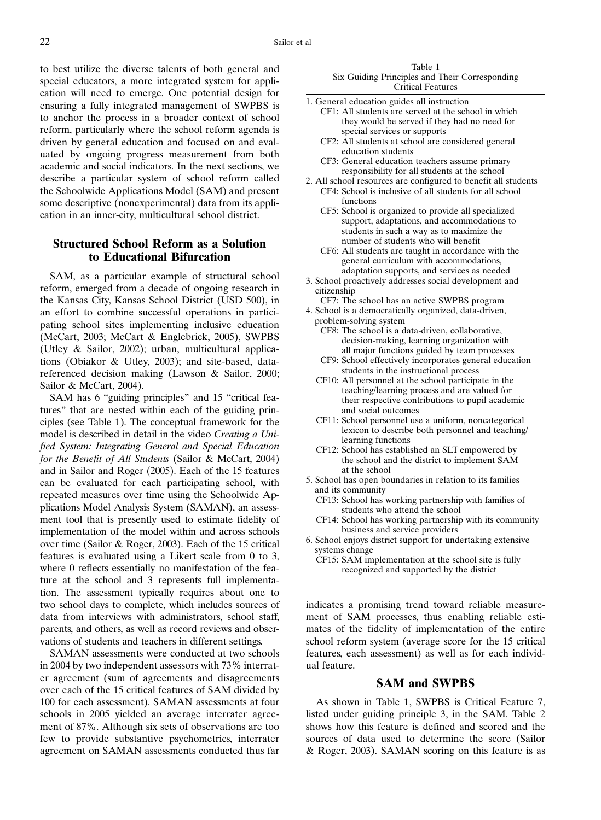to best utilize the diverse talents of both general and special educators, a more integrated system for application will need to emerge. One potential design for ensuring a fully integrated management of SWPBS is to anchor the process in a broader context of school reform, particularly where the school reform agenda is driven by general education and focused on and evaluated by ongoing progress measurement from both academic and social indicators. In the next sections, we describe a particular system of school reform called the Schoolwide Applications Model (SAM) and present some descriptive (nonexperimental) data from its application in an inner-city, multicultural school district.

## Structured School Reform as a Solution to Educational Bifurcation

SAM, as a particular example of structural school reform, emerged from a decade of ongoing research in the Kansas City, Kansas School District (USD 500), in an effort to combine successful operations in participating school sites implementing inclusive education (McCart, 2003; McCart & Englebrick, 2005), SWPBS (Utley & Sailor, 2002); urban, multicultural applications (Obiakor & Utley, 2003); and site-based, datareferenced decision making (Lawson & Sailor, 2000; Sailor & McCart, 2004).

SAM has 6 "guiding principles" and 15 "critical features" that are nested within each of the guiding principles (see Table 1). The conceptual framework for the model is described in detail in the video Creating a Unified System: Integrating General and Special Education for the Benefit of All Students (Sailor & McCart, 2004) and in Sailor and Roger (2005). Each of the 15 features can be evaluated for each participating school, with repeated measures over time using the Schoolwide Applications Model Analysis System (SAMAN), an assessment tool that is presently used to estimate fidelity of implementation of the model within and across schools over time (Sailor & Roger, 2003). Each of the 15 critical features is evaluated using a Likert scale from 0 to 3, where 0 reflects essentially no manifestation of the feature at the school and 3 represents full implementation. The assessment typically requires about one to two school days to complete, which includes sources of data from interviews with administrators, school staff, parents, and others, as well as record reviews and observations of students and teachers in different settings.

SAMAN assessments were conducted at two schools in 2004 by two independent assessors with 73% interrater agreement (sum of agreements and disagreements over each of the 15 critical features of SAM divided by 100 for each assessment). SAMAN assessments at four schools in 2005 yielded an average interrater agreement of 87%. Although six sets of observations are too few to provide substantive psychometrics, interrater agreement on SAMAN assessments conducted thus far

Table 1 Six Guiding Principles and Their Corresponding Critical Features

- 1. General education guides all instruction
	- CF1: All students are served at the school in which they would be served if they had no need for special services or supports
	- CF2: All students at school are considered general education students
	- CF3: General education teachers assume primary responsibility for all students at the school
- 2. All school resources are configured to benefit all students CF4: School is inclusive of all students for all school functions
	- CF5: School is organized to provide all specialized support, adaptations, and accommodations to students in such a way as to maximize the number of students who will benefit
	- CF6: All students are taught in accordance with the general curriculum with accommodations, adaptation supports, and services as needed
- 3. School proactively addresses social development and citizenship
- CF7: The school has an active SWPBS program 4. School is a democratically organized, data-driven,
- problem-solving system CF8: The school is a data-driven, collaborative,
	- decision-making, learning organization with all major functions guided by team processes
	- CF9: School effectively incorporates general education students in the instructional process
	- CF10: All personnel at the school participate in the teaching/learning process and are valued for their respective contributions to pupil academic and social outcomes
	- CF11: School personnel use a uniform, noncategorical lexicon to describe both personnel and teaching/ learning functions
	- CF12: School has established an SLT empowered by the school and the district to implement SAM at the school
- 5. School has open boundaries in relation to its families and its community
	- CF13: School has working partnership with families of students who attend the school
	- CF14: School has working partnership with its community business and service providers
- 6. School enjoys district support for undertaking extensive systems change
	- CF15: SAM implementation at the school site is fully recognized and supported by the district

indicates a promising trend toward reliable measurement of SAM processes, thus enabling reliable estimates of the fidelity of implementation of the entire school reform system (average score for the 15 critical features, each assessment) as well as for each individual feature.

#### SAM and SWPBS

As shown in Table 1, SWPBS is Critical Feature 7, listed under guiding principle 3, in the SAM. Table 2 shows how this feature is defined and scored and the sources of data used to determine the score (Sailor & Roger, 2003). SAMAN scoring on this feature is as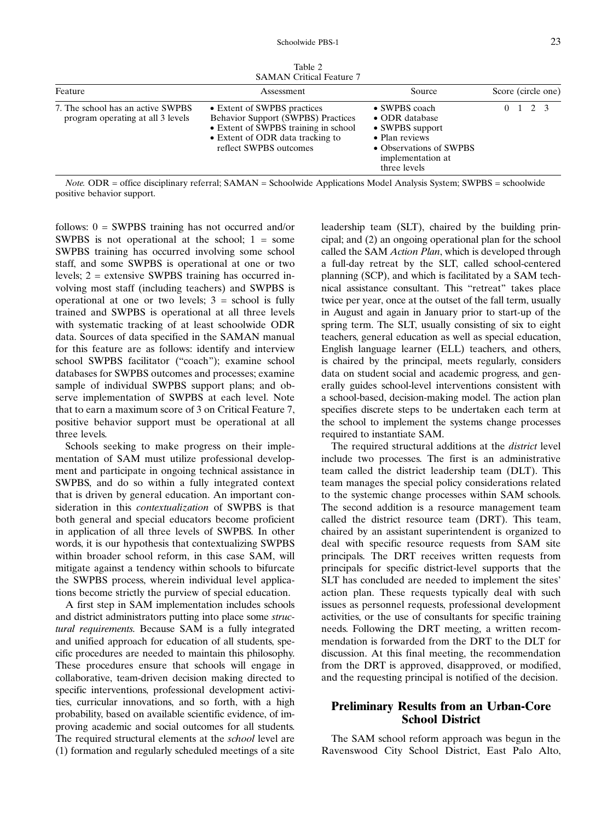Table 2 SAMAN Critical Feature 7

| Feature                                                                | Assessment                                                                                                                                                                     | Source                                                                                                                               |  |                 | Score (circle one) |
|------------------------------------------------------------------------|--------------------------------------------------------------------------------------------------------------------------------------------------------------------------------|--------------------------------------------------------------------------------------------------------------------------------------|--|-----------------|--------------------|
| 7. The school has an active SWPBS<br>program operating at all 3 levels | • Extent of SWPBS practices<br><b>Behavior Support (SWPBS) Practices</b><br>• Extent of SWPBS training in school<br>• Extent of ODR data tracking to<br>reflect SWPBS outcomes | • SWPBS coach<br>• ODR database<br>• SWPBS support<br>• Plan reviews<br>• Observations of SWPBS<br>implementation at<br>three levels |  | $0 \t1 \t2 \t3$ |                    |

Note. ODR = office disciplinary referral; SAMAN = Schoolwide Applications Model Analysis System; SWPBS = schoolwide positive behavior support.

follows:  $0 = \text{SWPBS}$  training has not occurred and/or SWPBS is not operational at the school;  $1 =$  some SWPBS training has occurred involving some school staff, and some SWPBS is operational at one or two levels; 2 = extensive SWPBS training has occurred involving most staff (including teachers) and SWPBS is operational at one or two levels;  $3 =$  school is fully trained and SWPBS is operational at all three levels with systematic tracking of at least schoolwide ODR data. Sources of data specified in the SAMAN manual for this feature are as follows: identify and interview school SWPBS facilitator ("coach"); examine school databases for SWPBS outcomes and processes; examine sample of individual SWPBS support plans; and observe implementation of SWPBS at each level. Note that to earn a maximum score of 3 on Critical Feature 7, positive behavior support must be operational at all three levels.

Schools seeking to make progress on their implementation of SAM must utilize professional development and participate in ongoing technical assistance in SWPBS, and do so within a fully integrated context that is driven by general education. An important consideration in this contextualization of SWPBS is that both general and special educators become proficient in application of all three levels of SWPBS. In other words, it is our hypothesis that contextualizing SWPBS within broader school reform, in this case SAM, will mitigate against a tendency within schools to bifurcate the SWPBS process, wherein individual level applications become strictly the purview of special education.

A first step in SAM implementation includes schools and district administrators putting into place some structural requirements. Because SAM is a fully integrated and unified approach for education of all students, specific procedures are needed to maintain this philosophy. These procedures ensure that schools will engage in collaborative, team-driven decision making directed to specific interventions, professional development activities, curricular innovations, and so forth, with a high probability, based on available scientific evidence, of improving academic and social outcomes for all students. The required structural elements at the school level are (1) formation and regularly scheduled meetings of a site leadership team (SLT), chaired by the building principal; and (2) an ongoing operational plan for the school called the SAM Action Plan, which is developed through a full-day retreat by the SLT, called school-centered planning (SCP), and which is facilitated by a SAM technical assistance consultant. This "retreat" takes place twice per year, once at the outset of the fall term, usually in August and again in January prior to start-up of the spring term. The SLT, usually consisting of six to eight teachers, general education as well as special education, English language learner (ELL) teachers, and others, is chaired by the principal, meets regularly, considers data on student social and academic progress, and generally guides school-level interventions consistent with a school-based, decision-making model. The action plan specifies discrete steps to be undertaken each term at the school to implement the systems change processes required to instantiate SAM.

The required structural additions at the *district* level include two processes. The first is an administrative team called the district leadership team (DLT). This team manages the special policy considerations related to the systemic change processes within SAM schools. The second addition is a resource management team called the district resource team (DRT). This team, chaired by an assistant superintendent is organized to deal with specific resource requests from SAM site principals. The DRT receives written requests from principals for specific district-level supports that the SLT has concluded are needed to implement the sites' action plan. These requests typically deal with such issues as personnel requests, professional development activities, or the use of consultants for specific training needs. Following the DRT meeting, a written recommendation is forwarded from the DRT to the DLT for discussion. At this final meeting, the recommendation from the DRT is approved, disapproved, or modified, and the requesting principal is notified of the decision.

### Preliminary Results from an Urban-Core School District

The SAM school reform approach was begun in the Ravenswood City School District, East Palo Alto,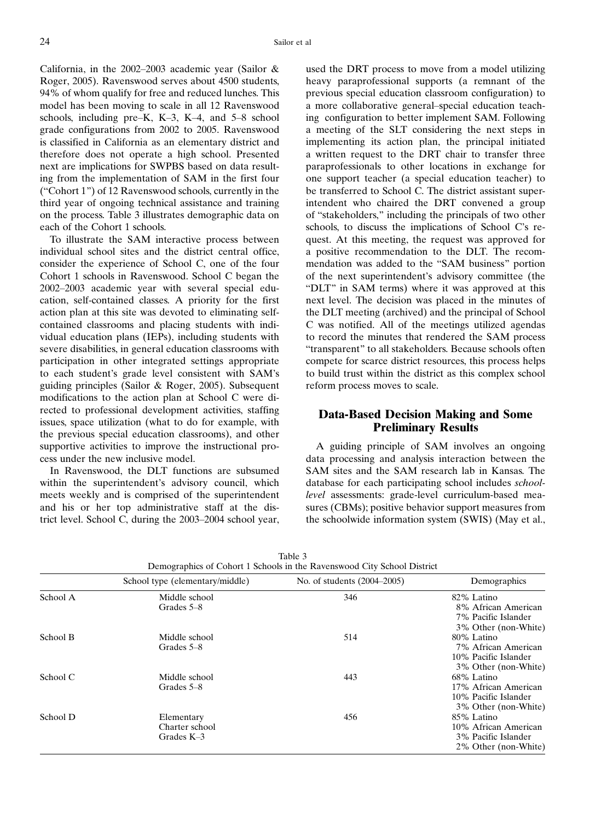California, in the 2002-2003 academic year (Sailor & Roger, 2005). Ravenswood serves about 4500 students, 94% of whom qualify for free and reduced lunches. This model has been moving to scale in all 12 Ravenswood schools, including pre-K,  $K-3$ ,  $K-4$ , and  $5-8$  school grade configurations from 2002 to 2005. Ravenswood is classified in California as an elementary district and therefore does not operate a high school. Presented next are implications for SWPBS based on data resulting from the implementation of SAM in the first four ("Cohort  $1$ ") of 12 Ravenswood schools, currently in the third year of ongoing technical assistance and training on the process. Table 3 illustrates demographic data on each of the Cohort 1 schools.

To illustrate the SAM interactive process between individual school sites and the district central office, consider the experience of School C, one of the four Cohort 1 schools in Ravenswood. School C began the 2002-2003 academic year with several special education, self-contained classes. A priority for the first action plan at this site was devoted to eliminating selfcontained classrooms and placing students with individual education plans (IEPs), including students with severe disabilities, in general education classrooms with participation in other integrated settings appropriate to each student's grade level consistent with SAM's guiding principles (Sailor & Roger, 2005). Subsequent modifications to the action plan at School C were directed to professional development activities, staffing issues, space utilization (what to do for example, with the previous special education classrooms), and other supportive activities to improve the instructional process under the new inclusive model.

In Ravenswood, the DLT functions are subsumed within the superintendent's advisory council, which meets weekly and is comprised of the superintendent and his or her top administrative staff at the district level. School C, during the  $2003-2004$  school year,

used the DRT process to move from a model utilizing heavy paraprofessional supports (a remnant of the previous special education classroom configuration) to a more collaborative general-special education teaching configuration to better implement SAM. Following a meeting of the SLT considering the next steps in implementing its action plan, the principal initiated a written request to the DRT chair to transfer three paraprofessionals to other locations in exchange for one support teacher (a special education teacher) to be transferred to School C. The district assistant superintendent who chaired the DRT convened a group of "stakeholders," including the principals of two other schools, to discuss the implications of School C's request. At this meeting, the request was approved for a positive recommendation to the DLT. The recommendation was added to the "SAM business" portion of the next superintendent's advisory committee (the "DLT" in SAM terms) where it was approved at this next level. The decision was placed in the minutes of the DLT meeting (archived) and the principal of School C was notified. All of the meetings utilized agendas to record the minutes that rendered the SAM process "transparent" to all stakeholders. Because schools often compete for scarce district resources, this process helps to build trust within the district as this complex school reform process moves to scale.

# Data-Based Decision Making and Some Preliminary Results

A guiding principle of SAM involves an ongoing data processing and analysis interaction between the SAM sites and the SAM research lab in Kansas. The database for each participating school includes schoollevel assessments: grade-level curriculum-based measures (CBMs); positive behavior support measures from the schoolwide information system (SWIS) (May et al.,

|          | School type (elementary/middle) | No. of students (2004–2005) | Demographics         |  |  |
|----------|---------------------------------|-----------------------------|----------------------|--|--|
| School A | Middle school                   | 346                         | 82% Latino           |  |  |
|          | Grades 5–8                      |                             | 8% African American  |  |  |
|          |                                 |                             | 7% Pacific Islander  |  |  |
|          |                                 |                             | 3% Other (non-White) |  |  |
| School B | Middle school                   | 514                         | 80% Latino           |  |  |
|          | Grades 5–8                      |                             | 7% African American  |  |  |
|          |                                 |                             | 10% Pacific Islander |  |  |
|          |                                 |                             | 3% Other (non-White) |  |  |
| School C | Middle school                   | 443                         | 68% Latino           |  |  |
|          | Grades 5–8                      |                             | 17% African American |  |  |
|          |                                 |                             | 10% Pacific Islander |  |  |
|          |                                 |                             | 3% Other (non-White) |  |  |
| School D | Elementary                      | 456                         | 85% Latino           |  |  |
|          | Charter school                  |                             | 10% African American |  |  |
|          | Grades $K-3$                    |                             | 3% Pacific Islander  |  |  |
|          |                                 |                             | 2% Other (non-White) |  |  |

Table 3 Demographics of Cohort 1 Schools in the Ravenswood City School District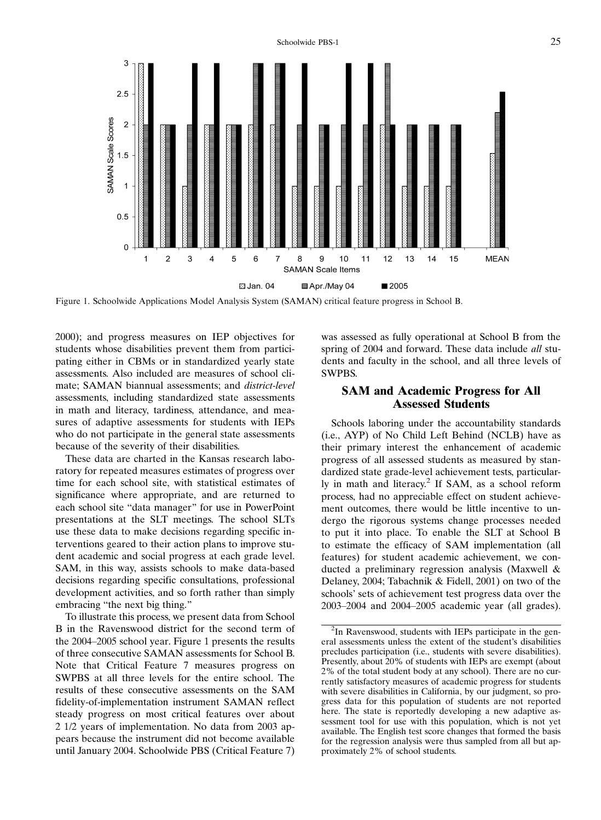

Figure 1. Schoolwide Applications Model Analysis System (SAMAN) critical feature progress in School B.

2000); and progress measures on IEP objectives for students whose disabilities prevent them from participating either in CBMs or in standardized yearly state assessments. Also included are measures of school climate; SAMAN biannual assessments; and district-level assessments, including standardized state assessments in math and literacy, tardiness, attendance, and measures of adaptive assessments for students with IEPs who do not participate in the general state assessments because of the severity of their disabilities.

These data are charted in the Kansas research laboratory for repeated measures estimates of progress over time for each school site, with statistical estimates of significance where appropriate, and are returned to each school site "data manager" for use in PowerPoint presentations at the SLT meetings. The school SLTs use these data to make decisions regarding specific interventions geared to their action plans to improve student academic and social progress at each grade level. SAM, in this way, assists schools to make data-based decisions regarding specific consultations, professional development activities, and so forth rather than simply embracing "the next big thing."

To illustrate this process, we present data from School B in the Ravenswood district for the second term of the 2004–2005 school year. Figure 1 presents the results of three consecutive SAMAN assessments for School B. Note that Critical Feature 7 measures progress on SWPBS at all three levels for the entire school. The results of these consecutive assessments on the SAM fidelity-of-implementation instrument SAMAN reflect steady progress on most critical features over about 2 1/2 years of implementation. No data from 2003 appears because the instrument did not become available until January 2004. Schoolwide PBS (Critical Feature 7) was assessed as fully operational at School B from the spring of 2004 and forward. These data include *all* students and faculty in the school, and all three levels of SWPBS.

#### SAM and Academic Progress for All Assessed Students

Schools laboring under the accountability standards (i.e., AYP) of No Child Left Behind (NCLB) have as their primary interest the enhancement of academic progress of all assessed students as measured by standardized state grade-level achievement tests, particularly in math and literacy.<sup>2</sup> If SAM, as a school reform process, had no appreciable effect on student achievement outcomes, there would be little incentive to undergo the rigorous systems change processes needed to put it into place. To enable the SLT at School B to estimate the efficacy of SAM implementation (all features) for student academic achievement, we conducted a preliminary regression analysis (Maxwell & Delaney, 2004; Tabachnik & Fidell, 2001) on two of the schools' sets of achievement test progress data over the  $2003-2004$  and  $2004-2005$  academic year (all grades).

<sup>&</sup>lt;sup>2</sup>In Ravenswood, students with IEPs participate in the general assessments unless the extent of the student's disabilities precludes participation (i.e., students with severe disabilities). Presently, about 20% of students with IEPs are exempt (about 2% of the total student body at any school). There are no currently satisfactory measures of academic progress for students with severe disabilities in California, by our judgment, so progress data for this population of students are not reported here. The state is reportedly developing a new adaptive assessment tool for use with this population, which is not yet available. The English test score changes that formed the basis for the regression analysis were thus sampled from all but approximately 2% of school students.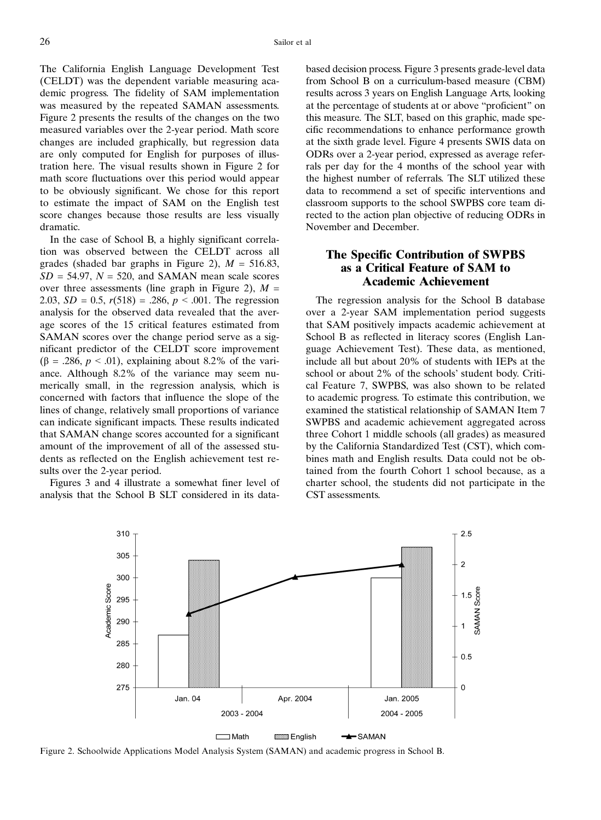The California English Language Development Test (CELDT) was the dependent variable measuring academic progress. The fidelity of SAM implementation was measured by the repeated SAMAN assessments. Figure 2 presents the results of the changes on the two measured variables over the 2-year period. Math score changes are included graphically, but regression data are only computed for English for purposes of illustration here. The visual results shown in Figure 2 for math score fluctuations over this period would appear to be obviously significant. We chose for this report to estimate the impact of SAM on the English test score changes because those results are less visually dramatic.

In the case of School B, a highly significant correlation was observed between the CELDT across all grades (shaded bar graphs in Figure 2),  $M = 516.83$ ,  $SD = 54.97$ ,  $N = 520$ , and SAMAN mean scale scores over three assessments (line graph in Figure 2),  $M =$ 2.03,  $SD = 0.5$ ,  $r(518) = .286$ ,  $p < .001$ . The regression analysis for the observed data revealed that the average scores of the 15 critical features estimated from SAMAN scores over the change period serve as a significant predictor of the CELDT score improvement ( $\beta$  = .286,  $p < .01$ ), explaining about 8.2% of the variance. Although 8.2% of the variance may seem numerically small, in the regression analysis, which is concerned with factors that influence the slope of the lines of change, relatively small proportions of variance can indicate significant impacts. These results indicated that SAMAN change scores accounted for a significant amount of the improvement of all of the assessed students as reflected on the English achievement test results over the 2-year period.

Figures 3 and 4 illustrate a somewhat finer level of analysis that the School B SLT considered in its databased decision process. Figure 3 presents grade-level data from School B on a curriculum-based measure (CBM) results across 3 years on English Language Arts, looking at the percentage of students at or above "proficient" on this measure. The SLT, based on this graphic, made specific recommendations to enhance performance growth at the sixth grade level. Figure 4 presents SWIS data on ODRs over a 2-year period, expressed as average referrals per day for the 4 months of the school year with the highest number of referrals. The SLT utilized these data to recommend a set of specific interventions and classroom supports to the school SWPBS core team directed to the action plan objective of reducing ODRs in November and December.

## The Specific Contribution of SWPBS as a Critical Feature of SAM to Academic Achievement

The regression analysis for the School B database over a 2-year SAM implementation period suggests that SAM positively impacts academic achievement at School B as reflected in literacy scores (English Language Achievement Test). These data, as mentioned, include all but about 20% of students with IEPs at the school or about 2% of the schools' student body. Critical Feature 7, SWPBS, was also shown to be related to academic progress. To estimate this contribution, we examined the statistical relationship of SAMAN Item 7 SWPBS and academic achievement aggregated across three Cohort 1 middle schools (all grades) as measured by the California Standardized Test (CST), which combines math and English results. Data could not be obtained from the fourth Cohort 1 school because, as a charter school, the students did not participate in the CST assessments.



Figure 2. Schoolwide Applications Model Analysis System (SAMAN) and academic progress in School B.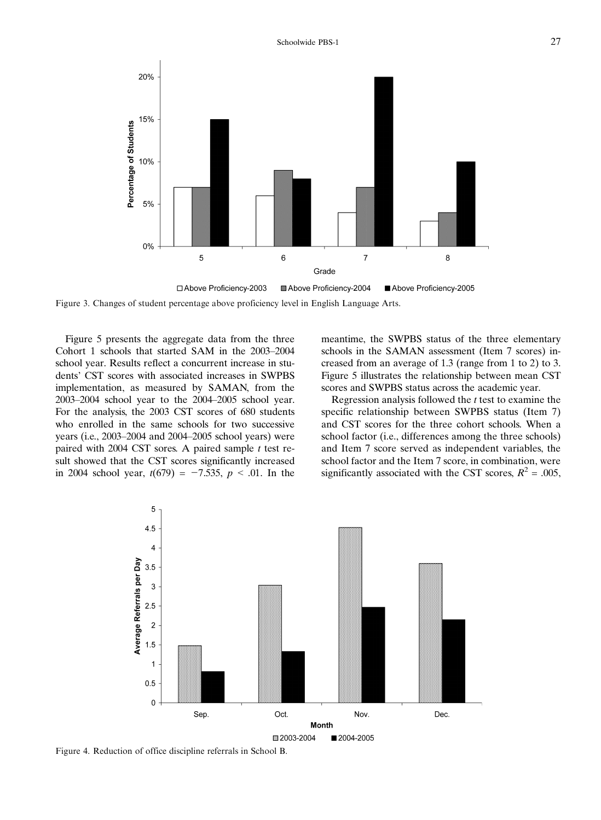

□ Above Proficiency-2003 ■ Above Proficiency-2004 Above Proficiency-2005 Figure 3. Changes of student percentage above proficiency level in English Language Arts.

Figure 5 presents the aggregate data from the three Cohort 1 schools that started SAM in the  $2003-2004$ school year. Results reflect a concurrent increase in students' CST scores with associated increases in SWPBS implementation, as measured by SAMAN, from the  $2003-2004$  school year to the  $2004-2005$  school year. For the analysis, the 2003 CST scores of 680 students who enrolled in the same schools for two successive years (i.e.,  $2003-2004$  and  $2004-2005$  school years) were paired with 2004 CST sores. A paired sample  $t$  test result showed that the CST scores significantly increased in 2004 school year,  $t(679) = -7.535$ ,  $p < .01$ . In the

meantime, the SWPBS status of the three elementary schools in the SAMAN assessment (Item 7 scores) increased from an average of 1.3 (range from 1 to 2) to 3. Figure 5 illustrates the relationship between mean CST scores and SWPBS status across the academic year.

Regression analysis followed the  $t$  test to examine the specific relationship between SWPBS status (Item 7) and CST scores for the three cohort schools. When a school factor (i.e., differences among the three schools) and Item 7 score served as independent variables, the school factor and the Item 7 score, in combination, were significantly associated with the CST scores,  $R^2 = .005$ ,



Figure 4. Reduction of office discipline referrals in School B.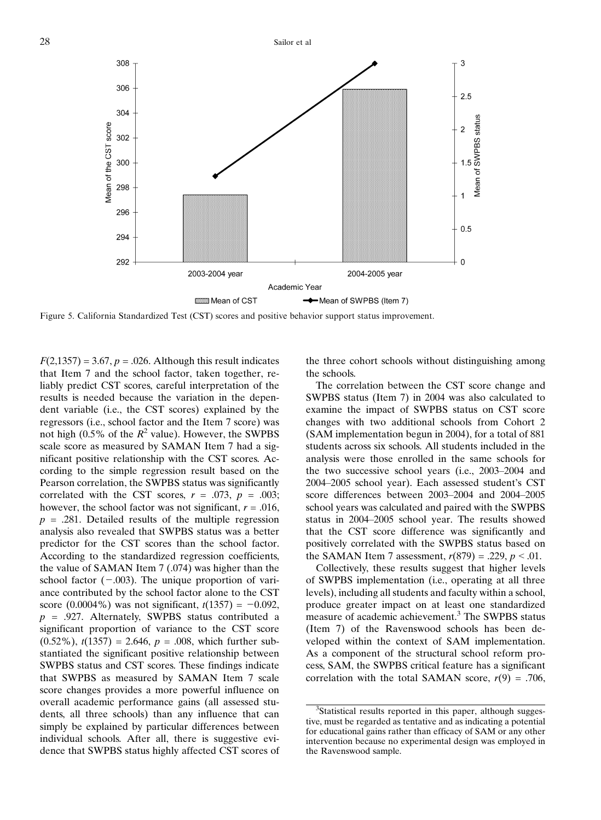

Figure 5. California Standardized Test (CST) scores and positive behavior support status improvement.

 $F(2,1357) = 3.67, p = .026$ . Although this result indicates that Item 7 and the school factor, taken together, reliably predict CST scores, careful interpretation of the results is needed because the variation in the dependent variable (i.e., the CST scores) explained by the regressors (i.e., school factor and the Item 7 score) was not high (0.5% of the  $R^2$  value). However, the SWPBS scale score as measured by SAMAN Item 7 had a significant positive relationship with the CST scores. According to the simple regression result based on the Pearson correlation, the SWPBS status was significantly correlated with the CST scores,  $r = .073$ ,  $p = .003$ ; however, the school factor was not significant,  $r = .016$ ,  $p = .281$ . Detailed results of the multiple regression analysis also revealed that SWPBS status was a better predictor for the CST scores than the school factor. According to the standardized regression coefficients, the value of SAMAN Item 7 (.074) was higher than the school factor  $(-.003)$ . The unique proportion of variance contributed by the school factor alone to the CST score (0.0004%) was not significant,  $t(1357) = -0.092$ ,  $p = .927$ . Alternately, SWPBS status contributed a significant proportion of variance to the CST score  $(0.52\%)$ ,  $t(1357) = 2.646$ ,  $p = .008$ , which further substantiated the significant positive relationship between SWPBS status and CST scores. These findings indicate that SWPBS as measured by SAMAN Item 7 scale score changes provides a more powerful influence on overall academic performance gains (all assessed students, all three schools) than any influence that can simply be explained by particular differences between individual schools. After all, there is suggestive evidence that SWPBS status highly affected CST scores of the three cohort schools without distinguishing among the schools.

The correlation between the CST score change and SWPBS status (Item 7) in 2004 was also calculated to examine the impact of SWPBS status on CST score changes with two additional schools from Cohort 2 (SAM implementation begun in 2004), for a total of 881 students across six schools. All students included in the analysis were those enrolled in the same schools for the two successive school years (i.e.,  $2003-2004$  and 2004-2005 school year). Each assessed student's CST score differences between 2003-2004 and 2004-2005 school years was calculated and paired with the SWPBS status in 2004–2005 school year. The results showed that the CST score difference was significantly and positively correlated with the SWPBS status based on the SAMAN Item 7 assessment,  $r(879) = .229$ ,  $p < .01$ .

Collectively, these results suggest that higher levels of SWPBS implementation (i.e., operating at all three levels), including all students and faculty within a school, produce greater impact on at least one standardized measure of academic achievement.<sup>3</sup> The SWPBS status (Item 7) of the Ravenswood schools has been developed within the context of SAM implementation. As a component of the structural school reform process, SAM, the SWPBS critical feature has a significant correlation with the total SAMAN score,  $r(9) = .706$ ,

<sup>&</sup>lt;sup>3</sup>Statistical results reported in this paper, although suggestive, must be regarded as tentative and as indicating a potential for educational gains rather than efficacy of SAM or any other intervention because no experimental design was employed in the Ravenswood sample.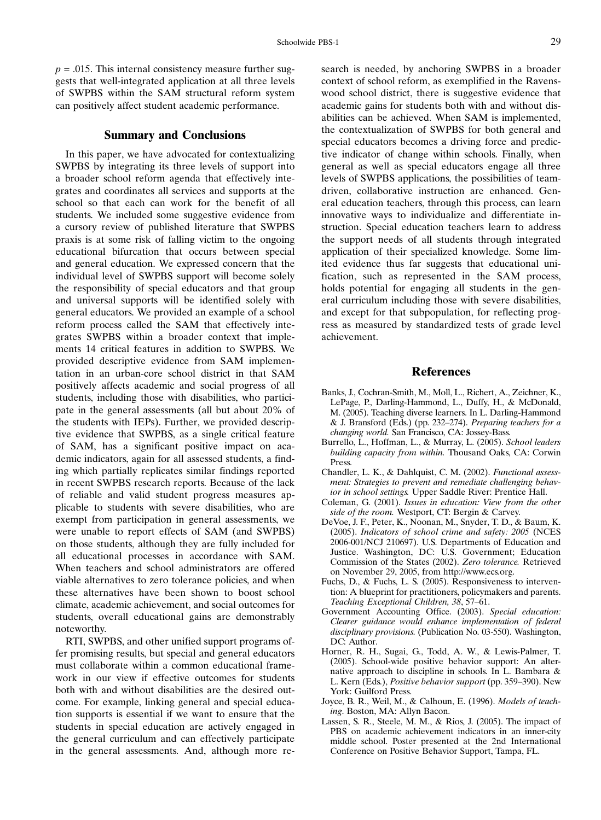$p = .015$ . This internal consistency measure further suggests that well-integrated application at all three levels of SWPBS within the SAM structural reform system can positively affect student academic performance.

#### Summary and Conclusions

In this paper, we have advocated for contextualizing SWPBS by integrating its three levels of support into a broader school reform agenda that effectively integrates and coordinates all services and supports at the school so that each can work for the benefit of all students. We included some suggestive evidence from a cursory review of published literature that SWPBS praxis is at some risk of falling victim to the ongoing educational bifurcation that occurs between special and general education. We expressed concern that the individual level of SWPBS support will become solely the responsibility of special educators and that group and universal supports will be identified solely with general educators. We provided an example of a school reform process called the SAM that effectively integrates SWPBS within a broader context that implements 14 critical features in addition to SWPBS. We provided descriptive evidence from SAM implementation in an urban-core school district in that SAM positively affects academic and social progress of all students, including those with disabilities, who participate in the general assessments (all but about 20% of the students with IEPs). Further, we provided descriptive evidence that SWPBS, as a single critical feature of SAM, has a significant positive impact on academic indicators, again for all assessed students, a finding which partially replicates similar findings reported in recent SWPBS research reports. Because of the lack of reliable and valid student progress measures applicable to students with severe disabilities, who are exempt from participation in general assessments, we were unable to report effects of SAM (and SWPBS) on those students, although they are fully included for all educational processes in accordance with SAM. When teachers and school administrators are offered viable alternatives to zero tolerance policies, and when these alternatives have been shown to boost school climate, academic achievement, and social outcomes for students, overall educational gains are demonstrably noteworthy.

RTI, SWPBS, and other unified support programs offer promising results, but special and general educators must collaborate within a common educational framework in our view if effective outcomes for students both with and without disabilities are the desired outcome. For example, linking general and special education supports is essential if we want to ensure that the students in special education are actively engaged in the general curriculum and can effectively participate in the general assessments. And, although more research is needed, by anchoring SWPBS in a broader context of school reform, as exemplified in the Ravenswood school district, there is suggestive evidence that academic gains for students both with and without disabilities can be achieved. When SAM is implemented, the contextualization of SWPBS for both general and special educators becomes a driving force and predictive indicator of change within schools. Finally, when general as well as special educators engage all three levels of SWPBS applications, the possibilities of teamdriven, collaborative instruction are enhanced. General education teachers, through this process, can learn innovative ways to individualize and differentiate instruction. Special education teachers learn to address the support needs of all students through integrated application of their specialized knowledge. Some limited evidence thus far suggests that educational unification, such as represented in the SAM process, holds potential for engaging all students in the general curriculum including those with severe disabilities, and except for that subpopulation, for reflecting progress as measured by standardized tests of grade level achievement.

#### References

- Banks, J., Cochran-Smith, M., Moll, L., Richert, A., Zeichner, K., LePage, P., Darling-Hammond, L., Duffy, H., & McDonald, M. (2005). Teaching diverse learners. In L. Darling-Hammond & J. Bransford (Eds.) (pp. 232-274). Preparing teachers for a changing world. San Francisco, CA: Jossey-Bass.
- Burrello, L., Hoffman, L., & Murray, L. (2005). School leaders building capacity from within. Thousand Oaks, CA: Corwin Press.
- Chandler, L. K., & Dahlquist, C. M. (2002). Functional assessment: Strategies to prevent and remediate challenging behavior in school settings. Upper Saddle River: Prentice Hall.
- Coleman, G. (2001). Issues in education: View from the other side of the room. Westport, CT: Bergin & Carvey.
- DeVoe, J. F., Peter, K., Noonan, M., Snyder, T. D., & Baum, K. (2005). Indicators of school crime and safety: 2005 (NCES 2006-001/NCJ 210697). U.S. Departments of Education and Justice. Washington, DC: U.S. Government; Education Commission of the States (2002). Zero tolerance. Retrieved on November 29, 2005, from http://www.ecs.org.
- Fuchs, D., & Fuchs, L. S. (2005). Responsiveness to intervention: A blueprint for practitioners, policymakers and parents. Teaching Exceptional Children, 38, 57-61.
- Government Accounting Office. (2003). Special education: Clearer guidance would enhance implementation of federal disciplinary provisions. (Publication No. 03-550). Washington, DC: Author.
- Horner, R. H., Sugai, G., Todd, A. W., & Lewis-Palmer, T. (2005). School-wide positive behavior support: An alternative approach to discipline in schools. In L. Bambara & L. Kern (Eds.), Positive behavior support (pp. 359-390). New York: Guilford Press.
- Joyce, B. R., Weil, M., & Calhoun, E. (1996). Models of teaching. Boston, MA: Allyn Bacon.
- Lassen, S. R., Steele, M. M., & Rios, J. (2005). The impact of PBS on academic achievement indicators in an inner-city middle school. Poster presented at the 2nd International Conference on Positive Behavior Support, Tampa, FL.